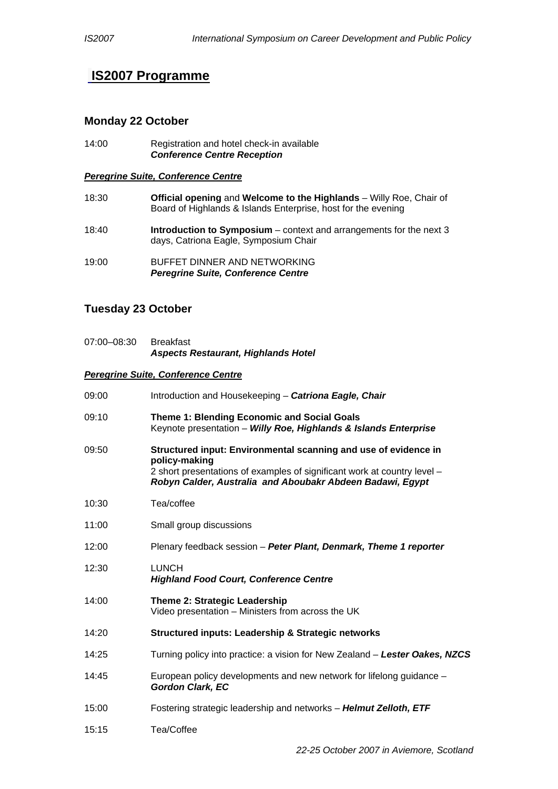# **IS2007 Programme**

## **Monday 22 October**

14:00 Registration and hotel check-in available  *Conference Centre Reception* 

#### *Peregrine Suite, Conference Centre*

| 18:30 | Official opening and Welcome to the Highlands - Willy Roe, Chair of<br>Board of Highlands & Islands Enterprise, host for the evening |
|-------|--------------------------------------------------------------------------------------------------------------------------------------|
| 18:40 | <b>Introduction to Symposium</b> – context and arrangements for the next $3$<br>days, Catriona Eagle, Symposium Chair                |
| 19:00 | BUFFET DINNER AND NETWORKING<br><b>Peregrine Suite, Conference Centre</b>                                                            |

## **Tuesday 23 October**

07:00–08:30 Breakfast *Aspects Restaurant, Highlands Hotel* 

### *Peregrine Suite, Conference Centre*

| 09:00 | Introduction and Housekeeping - Catriona Eagle, Chair                                                                                                                                                                     |
|-------|---------------------------------------------------------------------------------------------------------------------------------------------------------------------------------------------------------------------------|
| 09:10 | Theme 1: Blending Economic and Social Goals<br>Keynote presentation - Willy Roe, Highlands & Islands Enterprise                                                                                                           |
| 09:50 | Structured input: Environmental scanning and use of evidence in<br>policy-making<br>2 short presentations of examples of significant work at country level -<br>Robyn Calder, Australia and Aboubakr Abdeen Badawi, Egypt |
| 10:30 | Tea/coffee                                                                                                                                                                                                                |
| 11:00 | Small group discussions                                                                                                                                                                                                   |
| 12:00 | Plenary feedback session - Peter Plant, Denmark, Theme 1 reporter                                                                                                                                                         |
| 12:30 | <b>LUNCH</b><br><b>Highland Food Court, Conference Centre</b>                                                                                                                                                             |
| 14:00 | <b>Theme 2: Strategic Leadership</b><br>Video presentation - Ministers from across the UK                                                                                                                                 |
| 14:20 | <b>Structured inputs: Leadership &amp; Strategic networks</b>                                                                                                                                                             |
| 14:25 | Turning policy into practice: a vision for New Zealand – Lester Oakes, NZCS                                                                                                                                               |
| 14:45 | European policy developments and new network for lifelong guidance –<br><b>Gordon Clark, EC</b>                                                                                                                           |
| 15:00 | Fostering strategic leadership and networks - Helmut Zelloth, ETF                                                                                                                                                         |
| 15:15 | Tea/Coffee                                                                                                                                                                                                                |
|       |                                                                                                                                                                                                                           |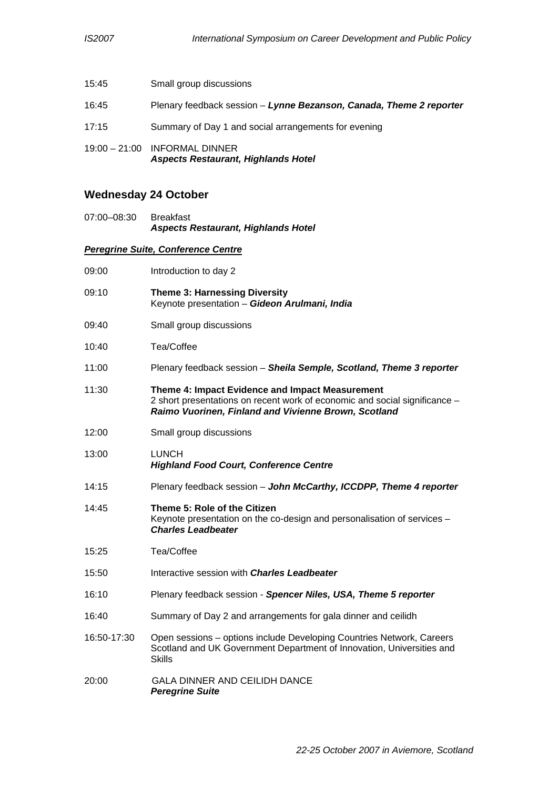| 15:45 | Small group discussions                                                       |
|-------|-------------------------------------------------------------------------------|
| 16:45 | Plenary feedback session - Lynne Bezanson, Canada, Theme 2 reporter           |
| 17:15 | Summary of Day 1 and social arrangements for evening                          |
|       | $19:00 - 21:00$ INFORMAL DINNER<br><b>Aspects Restaurant, Highlands Hotel</b> |

# **Wednesday 24 October**

07:00–08:30 Breakfast *Aspects Restaurant, Highlands Hotel* 

### *Peregrine Suite, Conference Centre*

| 09:00       | Introduction to day 2                                                                                                                                                                 |
|-------------|---------------------------------------------------------------------------------------------------------------------------------------------------------------------------------------|
| 09:10       | <b>Theme 3: Harnessing Diversity</b><br>Keynote presentation - Gideon Arulmani, India                                                                                                 |
| 09:40       | Small group discussions                                                                                                                                                               |
| 10:40       | Tea/Coffee                                                                                                                                                                            |
| 11:00       | Plenary feedback session - Sheila Semple, Scotland, Theme 3 reporter                                                                                                                  |
| 11:30       | Theme 4: Impact Evidence and Impact Measurement<br>2 short presentations on recent work of economic and social significance -<br>Raimo Vuorinen, Finland and Vivienne Brown, Scotland |
| 12:00       | Small group discussions                                                                                                                                                               |
| 13:00       | <b>LUNCH</b><br><b>Highland Food Court, Conference Centre</b>                                                                                                                         |
| 14:15       | Plenary feedback session - John McCarthy, ICCDPP, Theme 4 reporter                                                                                                                    |
| 14:45       | Theme 5: Role of the Citizen<br>Keynote presentation on the co-design and personalisation of services -<br><b>Charles Leadbeater</b>                                                  |
| 15:25       | Tea/Coffee                                                                                                                                                                            |
| 15:50       | Interactive session with <b>Charles Leadbeater</b>                                                                                                                                    |
| 16:10       | Plenary feedback session - Spencer Niles, USA, Theme 5 reporter                                                                                                                       |
| 16:40       | Summary of Day 2 and arrangements for gala dinner and ceilidh                                                                                                                         |
| 16:50-17:30 | Open sessions - options include Developing Countries Network, Careers<br>Scotland and UK Government Department of Innovation, Universities and<br><b>Skills</b>                       |
| 20:00       | <b>GALA DINNER AND CEILIDH DANCE</b><br><b>Peregrine Suite</b>                                                                                                                        |